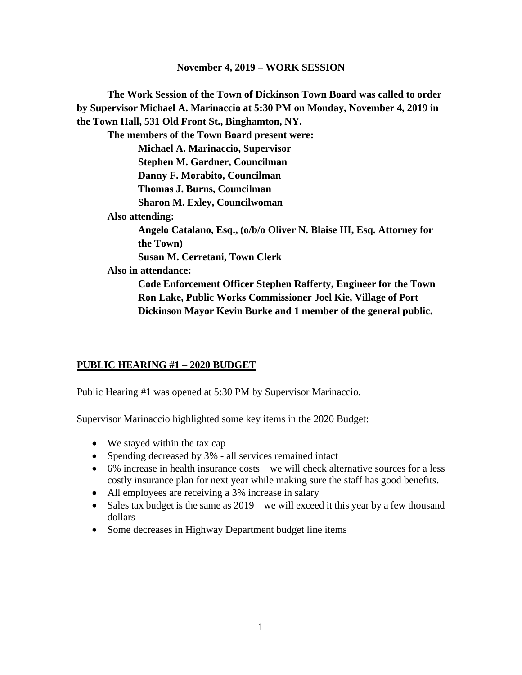**The Work Session of the Town of Dickinson Town Board was called to order by Supervisor Michael A. Marinaccio at 5:30 PM on Monday, November 4, 2019 in the Town Hall, 531 Old Front St., Binghamton, NY. The members of the Town Board present were: Michael A. Marinaccio, Supervisor Stephen M. Gardner, Councilman Danny F. Morabito, Councilman Thomas J. Burns, Councilman Sharon M. Exley, Councilwoman Also attending: Angelo Catalano, Esq., (o/b/o Oliver N. Blaise III, Esq. Attorney for the Town) Susan M. Cerretani, Town Clerk Also in attendance: Code Enforcement Officer Stephen Rafferty, Engineer for the Town Ron Lake, Public Works Commissioner Joel Kie, Village of Port Dickinson Mayor Kevin Burke and 1 member of the general public.**

## **PUBLIC HEARING #1 – 2020 BUDGET**

Public Hearing #1 was opened at 5:30 PM by Supervisor Marinaccio.

Supervisor Marinaccio highlighted some key items in the 2020 Budget:

- We stayed within the tax cap
- Spending decreased by 3% all services remained intact
- 6% increase in health insurance costs we will check alternative sources for a less costly insurance plan for next year while making sure the staff has good benefits.
- All employees are receiving a 3% increase in salary
- Sales tax budget is the same as  $2019$  we will exceed it this year by a few thousand dollars
- Some decreases in Highway Department budget line items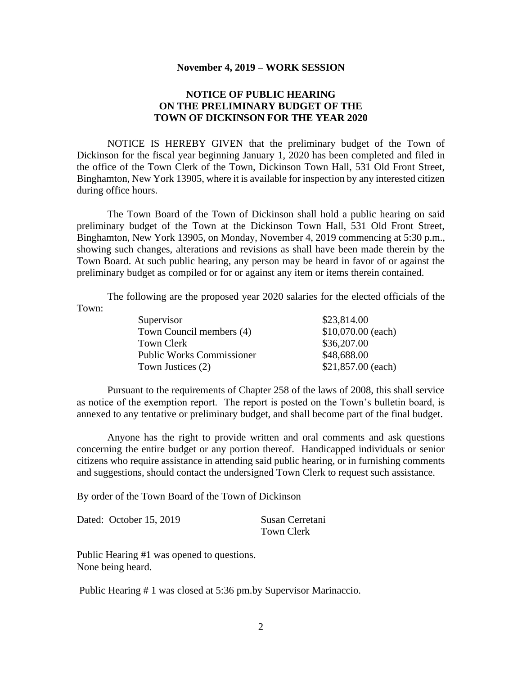#### **NOTICE OF PUBLIC HEARING ON THE PRELIMINARY BUDGET OF THE TOWN OF DICKINSON FOR THE YEAR 2020**

NOTICE IS HEREBY GIVEN that the preliminary budget of the Town of Dickinson for the fiscal year beginning January 1, 2020 has been completed and filed in the office of the Town Clerk of the Town, Dickinson Town Hall, 531 Old Front Street, Binghamton, New York 13905, where it is available for inspection by any interested citizen during office hours.

The Town Board of the Town of Dickinson shall hold a public hearing on said preliminary budget of the Town at the Dickinson Town Hall, 531 Old Front Street, Binghamton, New York 13905, on Monday, November 4, 2019 commencing at 5:30 p.m., showing such changes, alterations and revisions as shall have been made therein by the Town Board. At such public hearing, any person may be heard in favor of or against the preliminary budget as compiled or for or against any item or items therein contained.

The following are the proposed year 2020 salaries for the elected officials of the Town:

| Supervisor                       | \$23,814.00         |
|----------------------------------|---------------------|
| Town Council members (4)         | $$10,070.00$ (each) |
| Town Clerk                       | \$36,207.00         |
| <b>Public Works Commissioner</b> | \$48,688.00         |
| Town Justices (2)                | \$21,857.00 (each)  |

Pursuant to the requirements of Chapter 258 of the laws of 2008, this shall service as notice of the exemption report. The report is posted on the Town's bulletin board, is annexed to any tentative or preliminary budget, and shall become part of the final budget.

Anyone has the right to provide written and oral comments and ask questions concerning the entire budget or any portion thereof. Handicapped individuals or senior citizens who require assistance in attending said public hearing, or in furnishing comments and suggestions, should contact the undersigned Town Clerk to request such assistance.

By order of the Town Board of the Town of Dickinson

|  | Dated: October 15, 2019 | Susan Cerretani |
|--|-------------------------|-----------------|
|  | Town Clerk              |                 |

Public Hearing #1 was opened to questions. None being heard.

Public Hearing # 1 was closed at 5:36 pm.by Supervisor Marinaccio.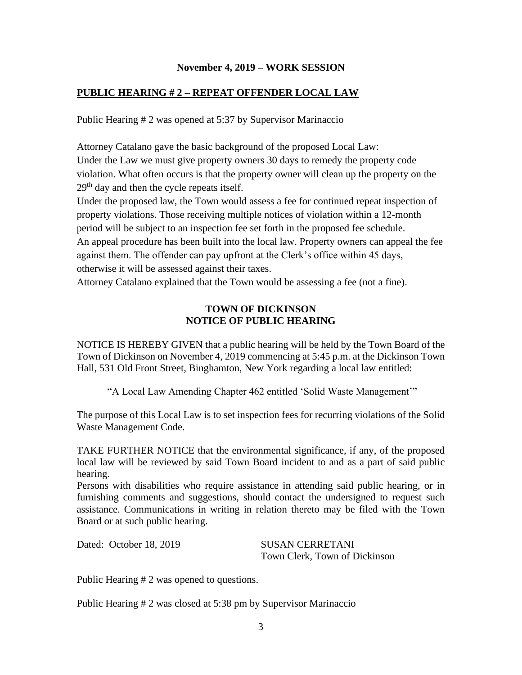### **PUBLIC HEARING # 2 – REPEAT OFFENDER LOCAL LAW**

Public Hearing # 2 was opened at 5:37 by Supervisor Marinaccio

Attorney Catalano gave the basic background of the proposed Local Law: Under the Law we must give property owners 30 days to remedy the property code violation. What often occurs is that the property owner will clean up the property on the 29<sup>th</sup> day and then the cycle repeats itself.

Under the proposed law, the Town would assess a fee for continued repeat inspection of property violations. Those receiving multiple notices of violation within a 12-month period will be subject to an inspection fee set forth in the proposed fee schedule. An appeal procedure has been built into the local law. Property owners can appeal the fee against them. The offender can pay upfront at the Clerk's office within 45 days, otherwise it will be assessed against their taxes.

Attorney Catalano explained that the Town would be assessing a fee (not a fine).

### **TOWN OF DICKINSON NOTICE OF PUBLIC HEARING**

NOTICE IS HEREBY GIVEN that a public hearing will be held by the Town Board of the Town of Dickinson on November 4, 2019 commencing at 5:45 p.m. at the Dickinson Town Hall, 531 Old Front Street, Binghamton, New York regarding a local law entitled:

"A Local Law Amending Chapter 462 entitled 'Solid Waste Management'"

The purpose of this Local Law is to set inspection fees for recurring violations of the Solid Waste Management Code.

TAKE FURTHER NOTICE that the environmental significance, if any, of the proposed local law will be reviewed by said Town Board incident to and as a part of said public hearing.

Persons with disabilities who require assistance in attending said public hearing, or in furnishing comments and suggestions, should contact the undersigned to request such assistance. Communications in writing in relation thereto may be filed with the Town Board or at such public hearing.

Dated: October 18, 2019 SUSAN CERRETANI

Town Clerk, Town of Dickinson

Public Hearing # 2 was opened to questions.

Public Hearing # 2 was closed at 5:38 pm by Supervisor Marinaccio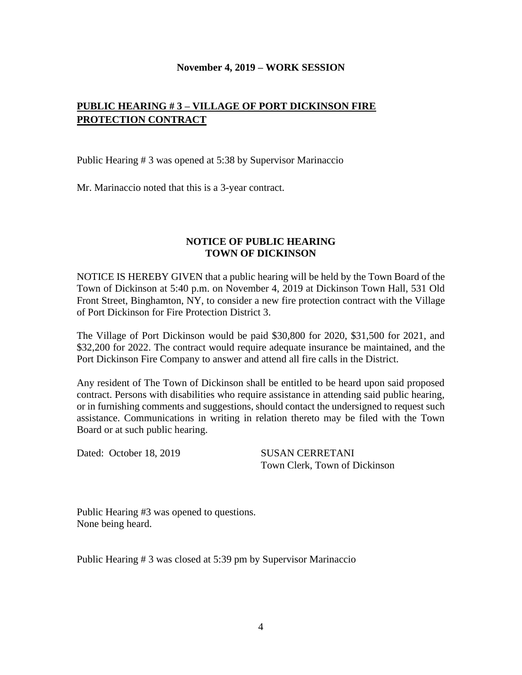# **PUBLIC HEARING # 3 – VILLAGE OF PORT DICKINSON FIRE PROTECTION CONTRACT**

Public Hearing # 3 was opened at 5:38 by Supervisor Marinaccio

Mr. Marinaccio noted that this is a 3-year contract.

### **NOTICE OF PUBLIC HEARING TOWN OF DICKINSON**

NOTICE IS HEREBY GIVEN that a public hearing will be held by the Town Board of the Town of Dickinson at 5:40 p.m. on November 4, 2019 at Dickinson Town Hall, 531 Old Front Street, Binghamton, NY, to consider a new fire protection contract with the Village of Port Dickinson for Fire Protection District 3.

The Village of Port Dickinson would be paid \$30,800 for 2020, \$31,500 for 2021, and \$32,200 for 2022. The contract would require adequate insurance be maintained, and the Port Dickinson Fire Company to answer and attend all fire calls in the District.

Any resident of The Town of Dickinson shall be entitled to be heard upon said proposed contract. Persons with disabilities who require assistance in attending said public hearing, or in furnishing comments and suggestions, should contact the undersigned to request such assistance. Communications in writing in relation thereto may be filed with the Town Board or at such public hearing.

Dated: October 18, 2019 SUSAN CERRETANI

Town Clerk, Town of Dickinson

Public Hearing #3 was opened to questions. None being heard.

Public Hearing # 3 was closed at 5:39 pm by Supervisor Marinaccio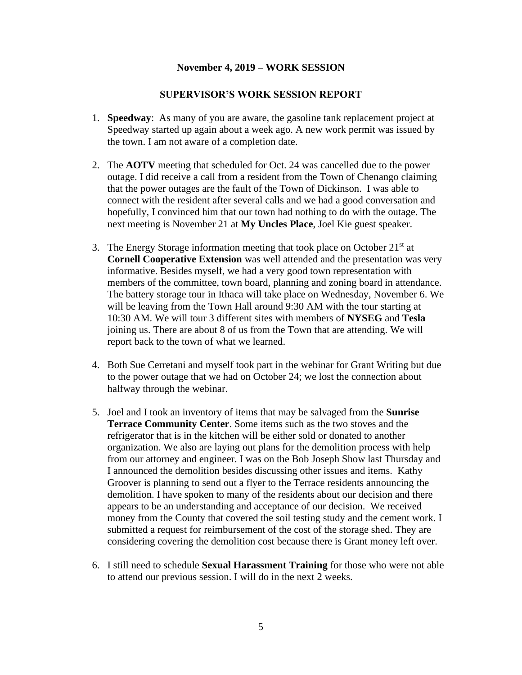#### **SUPERVISOR'S WORK SESSION REPORT**

- 1. **Speedway**: As many of you are aware, the gasoline tank replacement project at Speedway started up again about a week ago. A new work permit was issued by the town. I am not aware of a completion date.
- 2. The **AOTV** meeting that scheduled for Oct. 24 was cancelled due to the power outage. I did receive a call from a resident from the Town of Chenango claiming that the power outages are the fault of the Town of Dickinson. I was able to connect with the resident after several calls and we had a good conversation and hopefully, I convinced him that our town had nothing to do with the outage. The next meeting is November 21 at **My Uncles Place**, Joel Kie guest speaker.
- 3. The Energy Storage information meeting that took place on October  $21<sup>st</sup>$  at **Cornell Cooperative Extension** was well attended and the presentation was very informative. Besides myself, we had a very good town representation with members of the committee, town board, planning and zoning board in attendance. The battery storage tour in Ithaca will take place on Wednesday, November 6. We will be leaving from the Town Hall around 9:30 AM with the tour starting at 10:30 AM. We will tour 3 different sites with members of **NYSEG** and **Tesla** joining us. There are about 8 of us from the Town that are attending. We will report back to the town of what we learned.
- 4. Both Sue Cerretani and myself took part in the webinar for Grant Writing but due to the power outage that we had on October 24; we lost the connection about halfway through the webinar.
- 5. Joel and I took an inventory of items that may be salvaged from the **Sunrise Terrace Community Center**. Some items such as the two stoves and the refrigerator that is in the kitchen will be either sold or donated to another organization. We also are laying out plans for the demolition process with help from our attorney and engineer. I was on the Bob Joseph Show last Thursday and I announced the demolition besides discussing other issues and items. Kathy Groover is planning to send out a flyer to the Terrace residents announcing the demolition. I have spoken to many of the residents about our decision and there appears to be an understanding and acceptance of our decision. We received money from the County that covered the soil testing study and the cement work. I submitted a request for reimbursement of the cost of the storage shed. They are considering covering the demolition cost because there is Grant money left over.
- 6. I still need to schedule **Sexual Harassment Training** for those who were not able to attend our previous session. I will do in the next 2 weeks.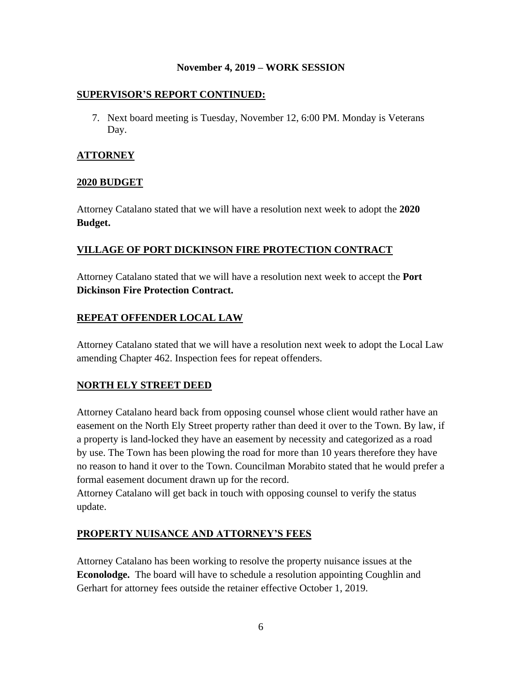### **SUPERVISOR'S REPORT CONTINUED:**

7. Next board meeting is Tuesday, November 12, 6:00 PM. Monday is Veterans Day.

## **ATTORNEY**

### **2020 BUDGET**

Attorney Catalano stated that we will have a resolution next week to adopt the **2020 Budget.**

## **VILLAGE OF PORT DICKINSON FIRE PROTECTION CONTRACT**

Attorney Catalano stated that we will have a resolution next week to accept the **Port Dickinson Fire Protection Contract.**

## **REPEAT OFFENDER LOCAL LAW**

Attorney Catalano stated that we will have a resolution next week to adopt the Local Law amending Chapter 462. Inspection fees for repeat offenders.

## **NORTH ELY STREET DEED**

Attorney Catalano heard back from opposing counsel whose client would rather have an easement on the North Ely Street property rather than deed it over to the Town. By law, if a property is land-locked they have an easement by necessity and categorized as a road by use. The Town has been plowing the road for more than 10 years therefore they have no reason to hand it over to the Town. Councilman Morabito stated that he would prefer a formal easement document drawn up for the record.

Attorney Catalano will get back in touch with opposing counsel to verify the status update.

## **PROPERTY NUISANCE AND ATTORNEY'S FEES**

Attorney Catalano has been working to resolve the property nuisance issues at the **Econolodge.** The board will have to schedule a resolution appointing Coughlin and Gerhart for attorney fees outside the retainer effective October 1, 2019.